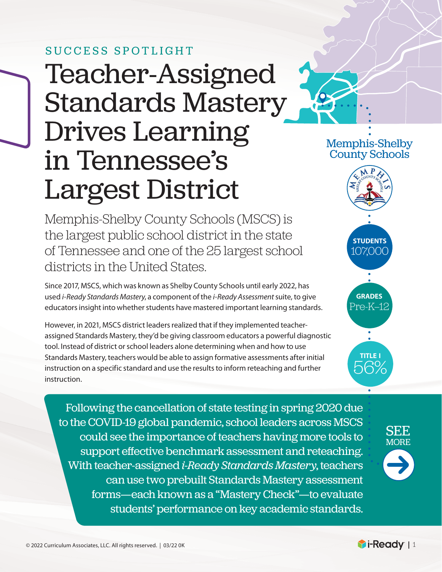# Teacher-Assigned Standards Mastery Drives Learning in Tennessee's Largest District SUCCESS SPOTLIGHT

Memphis-Shelby County Schools (MSCS) is the largest public school district in the state of Tennessee and one of the 25 largest school districts in the United States.

Since 2017, MSCS, which was known as Shelby County Schools until early 2022, has used *i-Ready Standards Mastery*, a component of the *i-Ready Assessment* suite, to give educators insight into whether students have mastered important learning standards.

However, in 2021, MSCS district leaders realized that if they implemented teacherassigned Standards Mastery, they'd be giving classroom educators a powerful diagnostic tool. Instead of district or school leaders alone determining when and how to use Standards Mastery, teachers would be able to assign formative assessments after initial instruction on a specific standard and use the results to inform reteaching and further instruction.

Following the cancellation of state testing in spring 2020 due to the COVID-19 global pandemic, school leaders across MSCS could see the importance of teachers having more tools to support effective benchmark assessment and reteaching. With teacher-assigned *i-Ready Standards Mastery*, teachers can use two prebuilt Standards Mastery assessment forms—each known as a "Mastery Check"—to evaluate students' performance on key academic standards.



Memphis-Shelby County Schools

> **students** 107,000

**grades** Pre-K–12

**title i** 56%